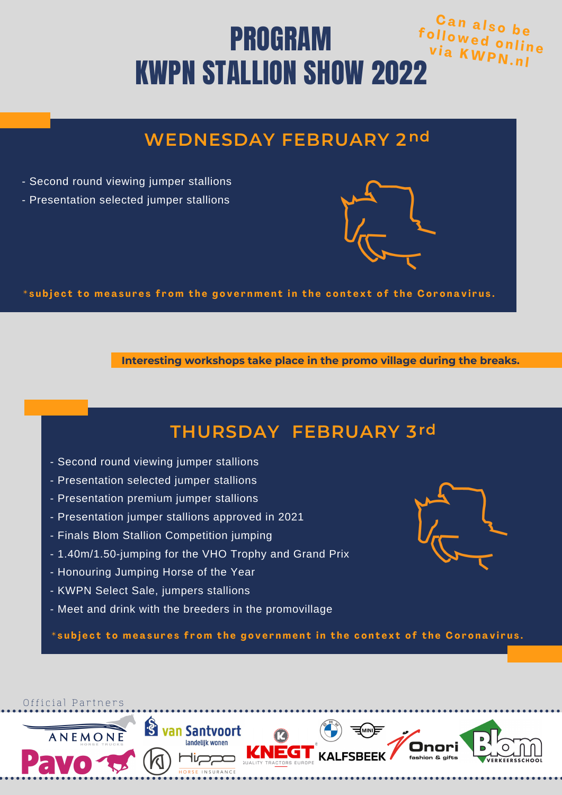#### **f <sup>o</sup> l l <sup>o</sup> <sup>w</sup> <sup>e</sup> <sup>d</sup> <sup>o</sup> <sup>n</sup> <sup>l</sup> <sup>i</sup> <sup>n</sup> <sup>e</sup>**  $C$  an also **v i a <sup>K</sup> <sup>W</sup> <sup>P</sup> <sup>N</sup> . <sup>n</sup> <sup>l</sup>** PROGRAM KWPN STALLION SHOW 2022

## **WEDNESDAY FEBRUARY 2 nd**

- Second round viewing jumper stallions
- Presentation selected jumper stallions



**Interesting workshops take place in the promo village during the breaks.**

#### **THURSDAY FEBRUARY 3 rd**

- Second round viewing jumper stallions
- Presentation selected jumper stallions
- Presentation premium jumper stallions
- Presentation jumper stallions approved in 2021
- Finals Blom Stallion Competition jumping
- 1.40m/1.50-jumping for the VHO Trophy and Grand Prix
- Honouring Jumping Horse of the Year
- KWPN Select Sale, jumpers stallions

Official Partners

ANEMONE

- Meet and drink with the breeders in the promovillage

<sup>8</sup> van Santvoort

landelijk wonen

\*subject to measures from the government in the context of the Coronavirus.